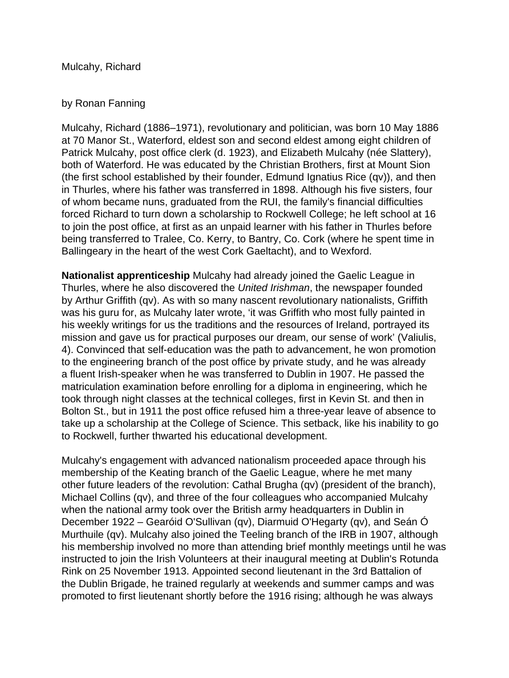Mulcahy, Richard

## by Ronan Fanning

Mulcahy, Richard (1886–1971), revolutionary and politician, was born 10 May 1886 at 70 Manor St., Waterford, eldest son and second eldest among eight children of Patrick Mulcahy, post office clerk (d. 1923), and Elizabeth Mulcahy (née Slattery), both of Waterford. He was educated by the Christian Brothers, first at Mount Sion (the first school established by their founder, Edmund Ignatius Rice (qv)), and then in Thurles, where his father was transferred in 1898. Although his five sisters, four of whom became nuns, graduated from the RUI, the family's financial difficulties forced Richard to turn down a scholarship to Rockwell College; he left school at 16 to join the post office, at first as an unpaid learner with his father in Thurles before being transferred to Tralee, Co. Kerry, to Bantry, Co. Cork (where he spent time in Ballingeary in the heart of the west Cork Gaeltacht), and to Wexford.

**Nationalist apprenticeship** Mulcahy had already joined the Gaelic League in Thurles, where he also discovered the United Irishman, the newspaper founded by Arthur Griffith (qv). As with so many nascent revolutionary nationalists, Griffith was his guru for, as Mulcahy later wrote, 'it was Griffith who most fully painted in his weekly writings for us the traditions and the resources of Ireland, portrayed its mission and gave us for practical purposes our dream, our sense of work' (Valiulis, 4). Convinced that self-education was the path to advancement, he won promotion to the engineering branch of the post office by private study, and he was already a fluent Irish-speaker when he was transferred to Dublin in 1907. He passed the matriculation examination before enrolling for a diploma in engineering, which he took through night classes at the technical colleges, first in Kevin St. and then in Bolton St., but in 1911 the post office refused him a three-year leave of absence to take up a scholarship at the College of Science. This setback, like his inability to go to Rockwell, further thwarted his educational development.

Mulcahy's engagement with advanced nationalism proceeded apace through his membership of the Keating branch of the Gaelic League, where he met many other future leaders of the revolution: Cathal Brugha (qv) (president of the branch), Michael Collins (qv), and three of the four colleagues who accompanied Mulcahy when the national army took over the British army headquarters in Dublin in December 1922 – Gearóid O'Sullivan (qv), Diarmuid O'Hegarty (qv), and Seán Ó Murthuile (qv). Mulcahy also joined the Teeling branch of the IRB in 1907, although his membership involved no more than attending brief monthly meetings until he was instructed to join the Irish Volunteers at their inaugural meeting at Dublin's Rotunda Rink on 25 November 1913. Appointed second lieutenant in the 3rd Battalion of the Dublin Brigade, he trained regularly at weekends and summer camps and was promoted to first lieutenant shortly before the 1916 rising; although he was always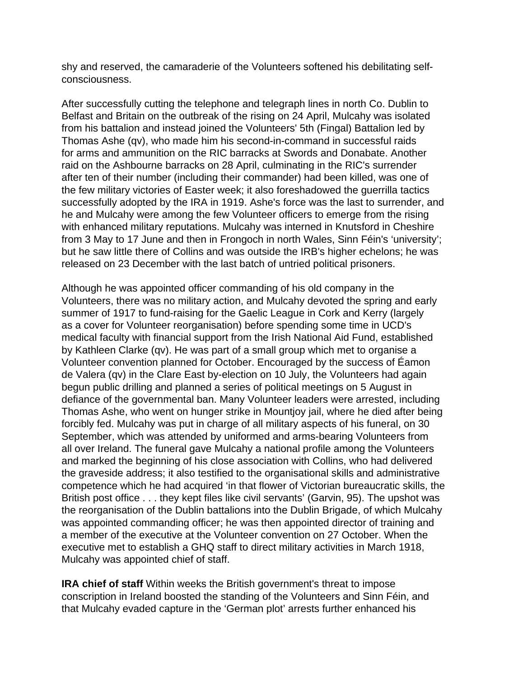shy and reserved, the camaraderie of the Volunteers softened his debilitating selfconsciousness.

After successfully cutting the telephone and telegraph lines in north Co. Dublin to Belfast and Britain on the outbreak of the rising on 24 April, Mulcahy was isolated from his battalion and instead joined the Volunteers' 5th (Fingal) Battalion led by Thomas Ashe (qv), who made him his second-in-command in successful raids for arms and ammunition on the RIC barracks at Swords and Donabate. Another raid on the Ashbourne barracks on 28 April, culminating in the RIC's surrender after ten of their number (including their commander) had been killed, was one of the few military victories of Easter week; it also foreshadowed the guerrilla tactics successfully adopted by the IRA in 1919. Ashe's force was the last to surrender, and he and Mulcahy were among the few Volunteer officers to emerge from the rising with enhanced military reputations. Mulcahy was interned in Knutsford in Cheshire from 3 May to 17 June and then in Frongoch in north Wales, Sinn Féin's 'university'; but he saw little there of Collins and was outside the IRB's higher echelons; he was released on 23 December with the last batch of untried political prisoners.

Although he was appointed officer commanding of his old company in the Volunteers, there was no military action, and Mulcahy devoted the spring and early summer of 1917 to fund-raising for the Gaelic League in Cork and Kerry (largely as a cover for Volunteer reorganisation) before spending some time in UCD's medical faculty with financial support from the Irish National Aid Fund, established by Kathleen Clarke (qv). He was part of a small group which met to organise a Volunteer convention planned for October. Encouraged by the success of Éamon de Valera (qv) in the Clare East by-election on 10 July, the Volunteers had again begun public drilling and planned a series of political meetings on 5 August in defiance of the governmental ban. Many Volunteer leaders were arrested, including Thomas Ashe, who went on hunger strike in Mountjoy jail, where he died after being forcibly fed. Mulcahy was put in charge of all military aspects of his funeral, on 30 September, which was attended by uniformed and arms-bearing Volunteers from all over Ireland. The funeral gave Mulcahy a national profile among the Volunteers and marked the beginning of his close association with Collins, who had delivered the graveside address; it also testified to the organisational skills and administrative competence which he had acquired 'in that flower of Victorian bureaucratic skills, the British post office . . . they kept files like civil servants' (Garvin, 95). The upshot was the reorganisation of the Dublin battalions into the Dublin Brigade, of which Mulcahy was appointed commanding officer; he was then appointed director of training and a member of the executive at the Volunteer convention on 27 October. When the executive met to establish a GHQ staff to direct military activities in March 1918, Mulcahy was appointed chief of staff.

**IRA chief of staff** Within weeks the British government's threat to impose conscription in Ireland boosted the standing of the Volunteers and Sinn Féin, and that Mulcahy evaded capture in the 'German plot' arrests further enhanced his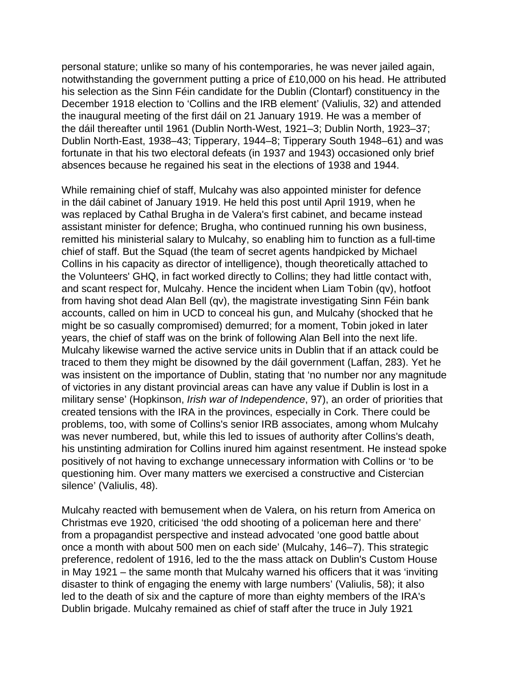personal stature; unlike so many of his contemporaries, he was never jailed again, notwithstanding the government putting a price of £10,000 on his head. He attributed his selection as the Sinn Féin candidate for the Dublin (Clontarf) constituency in the December 1918 election to 'Collins and the IRB element' (Valiulis, 32) and attended the inaugural meeting of the first dáil on 21 January 1919. He was a member of the dáil thereafter until 1961 (Dublin North-West, 1921–3; Dublin North, 1923–37; Dublin North-East, 1938–43; Tipperary, 1944–8; Tipperary South 1948–61) and was fortunate in that his two electoral defeats (in 1937 and 1943) occasioned only brief absences because he regained his seat in the elections of 1938 and 1944.

While remaining chief of staff, Mulcahy was also appointed minister for defence in the dáil cabinet of January 1919. He held this post until April 1919, when he was replaced by Cathal Brugha in de Valera's first cabinet, and became instead assistant minister for defence; Brugha, who continued running his own business, remitted his ministerial salary to Mulcahy, so enabling him to function as a full-time chief of staff. But the Squad (the team of secret agents handpicked by Michael Collins in his capacity as director of intelligence), though theoretically attached to the Volunteers' GHQ, in fact worked directly to Collins; they had little contact with, and scant respect for, Mulcahy. Hence the incident when Liam Tobin (qv), hotfoot from having shot dead Alan Bell (qv), the magistrate investigating Sinn Féin bank accounts, called on him in UCD to conceal his gun, and Mulcahy (shocked that he might be so casually compromised) demurred; for a moment, Tobin joked in later years, the chief of staff was on the brink of following Alan Bell into the next life. Mulcahy likewise warned the active service units in Dublin that if an attack could be traced to them they might be disowned by the dáil government (Laffan, 283). Yet he was insistent on the importance of Dublin, stating that 'no number nor any magnitude of victories in any distant provincial areas can have any value if Dublin is lost in a military sense' (Hopkinson, Irish war of Independence, 97), an order of priorities that created tensions with the IRA in the provinces, especially in Cork. There could be problems, too, with some of Collins's senior IRB associates, among whom Mulcahy was never numbered, but, while this led to issues of authority after Collins's death, his unstinting admiration for Collins inured him against resentment. He instead spoke positively of not having to exchange unnecessary information with Collins or 'to be questioning him. Over many matters we exercised a constructive and Cistercian silence' (Valiulis, 48).

Mulcahy reacted with bemusement when de Valera, on his return from America on Christmas eve 1920, criticised 'the odd shooting of a policeman here and there' from a propagandist perspective and instead advocated 'one good battle about once a month with about 500 men on each side' (Mulcahy, 146–7). This strategic preference, redolent of 1916, led to the the mass attack on Dublin's Custom House in May 1921 – the same month that Mulcahy warned his officers that it was 'inviting disaster to think of engaging the enemy with large numbers' (Valiulis, 58); it also led to the death of six and the capture of more than eighty members of the IRA's Dublin brigade. Mulcahy remained as chief of staff after the truce in July 1921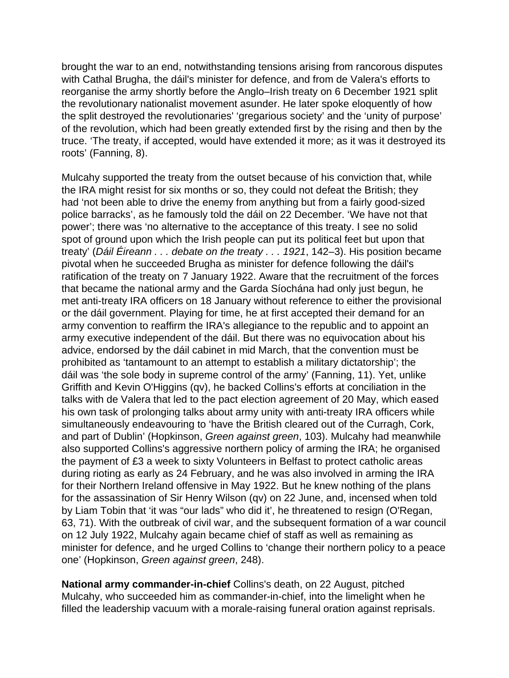brought the war to an end, notwithstanding tensions arising from rancorous disputes with Cathal Brugha, the dáil's minister for defence, and from de Valera's efforts to reorganise the army shortly before the Anglo–Irish treaty on 6 December 1921 split the revolutionary nationalist movement asunder. He later spoke eloquently of how the split destroyed the revolutionaries' 'gregarious society' and the 'unity of purpose' of the revolution, which had been greatly extended first by the rising and then by the truce. 'The treaty, if accepted, would have extended it more; as it was it destroyed its roots' (Fanning, 8).

Mulcahy supported the treaty from the outset because of his conviction that, while the IRA might resist for six months or so, they could not defeat the British; they had 'not been able to drive the enemy from anything but from a fairly good-sized police barracks', as he famously told the dáil on 22 December. 'We have not that power'; there was 'no alternative to the acceptance of this treaty. I see no solid spot of ground upon which the Irish people can put its political feet but upon that treaty' (Dáil Éireann . . . debate on the treaty . . . 1921, 142–3). His position became pivotal when he succeeded Brugha as minister for defence following the dáil's ratification of the treaty on 7 January 1922. Aware that the recruitment of the forces that became the national army and the Garda Síochána had only just begun, he met anti-treaty IRA officers on 18 January without reference to either the provisional or the dáil government. Playing for time, he at first accepted their demand for an army convention to reaffirm the IRA's allegiance to the republic and to appoint an army executive independent of the dáil. But there was no equivocation about his advice, endorsed by the dáil cabinet in mid March, that the convention must be prohibited as 'tantamount to an attempt to establish a military dictatorship'; the dáil was 'the sole body in supreme control of the army' (Fanning, 11). Yet, unlike Griffith and Kevin O'Higgins (qv), he backed Collins's efforts at conciliation in the talks with de Valera that led to the pact election agreement of 20 May, which eased his own task of prolonging talks about army unity with anti-treaty IRA officers while simultaneously endeavouring to 'have the British cleared out of the Curragh, Cork, and part of Dublin' (Hopkinson, Green against green, 103). Mulcahy had meanwhile also supported Collins's aggressive northern policy of arming the IRA; he organised the payment of £3 a week to sixty Volunteers in Belfast to protect catholic areas during rioting as early as 24 February, and he was also involved in arming the IRA for their Northern Ireland offensive in May 1922. But he knew nothing of the plans for the assassination of Sir Henry Wilson (qv) on 22 June, and, incensed when told by Liam Tobin that 'it was "our lads" who did it', he threatened to resign (O'Regan, 63, 71). With the outbreak of civil war, and the subsequent formation of a war council on 12 July 1922, Mulcahy again became chief of staff as well as remaining as minister for defence, and he urged Collins to 'change their northern policy to a peace one' (Hopkinson, Green against green, 248).

**National army commander-in-chief** Collins's death, on 22 August, pitched Mulcahy, who succeeded him as commander-in-chief, into the limelight when he filled the leadership vacuum with a morale-raising funeral oration against reprisals.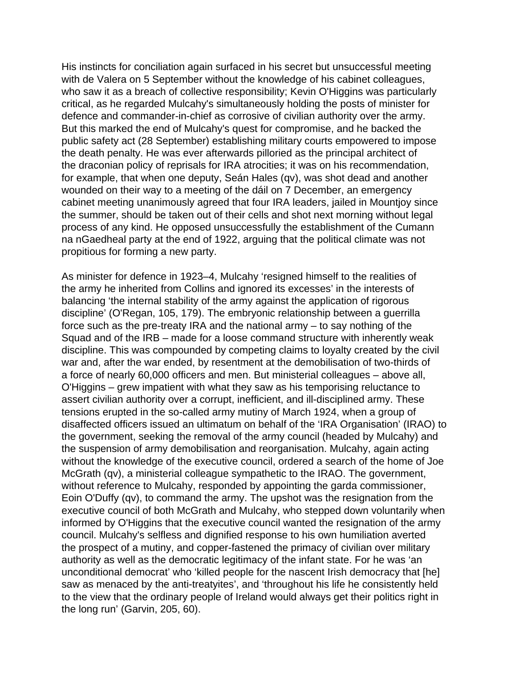His instincts for conciliation again surfaced in his secret but unsuccessful meeting with de Valera on 5 September without the knowledge of his cabinet colleagues, who saw it as a breach of collective responsibility; Kevin O'Higgins was particularly critical, as he regarded Mulcahy's simultaneously holding the posts of minister for defence and commander-in-chief as corrosive of civilian authority over the army. But this marked the end of Mulcahy's quest for compromise, and he backed the public safety act (28 September) establishing military courts empowered to impose the death penalty. He was ever afterwards pilloried as the principal architect of the draconian policy of reprisals for IRA atrocities; it was on his recommendation, for example, that when one deputy, Seán Hales (qv), was shot dead and another wounded on their way to a meeting of the dáil on 7 December, an emergency cabinet meeting unanimously agreed that four IRA leaders, jailed in Mountjoy since the summer, should be taken out of their cells and shot next morning without legal process of any kind. He opposed unsuccessfully the establishment of the Cumann na nGaedheal party at the end of 1922, arguing that the political climate was not propitious for forming a new party.

As minister for defence in 1923–4, Mulcahy 'resigned himself to the realities of the army he inherited from Collins and ignored its excesses' in the interests of balancing 'the internal stability of the army against the application of rigorous discipline' (O'Regan, 105, 179). The embryonic relationship between a guerrilla force such as the pre-treaty IRA and the national army – to say nothing of the Squad and of the IRB – made for a loose command structure with inherently weak discipline. This was compounded by competing claims to loyalty created by the civil war and, after the war ended, by resentment at the demobilisation of two-thirds of a force of nearly 60,000 officers and men. But ministerial colleagues – above all, O'Higgins – grew impatient with what they saw as his temporising reluctance to assert civilian authority over a corrupt, inefficient, and ill-disciplined army. These tensions erupted in the so-called army mutiny of March 1924, when a group of disaffected officers issued an ultimatum on behalf of the 'IRA Organisation' (IRAO) to the government, seeking the removal of the army council (headed by Mulcahy) and the suspension of army demobilisation and reorganisation. Mulcahy, again acting without the knowledge of the executive council, ordered a search of the home of Joe McGrath (qv), a ministerial colleague sympathetic to the IRAO. The government, without reference to Mulcahy, responded by appointing the garda commissioner, Eoin O'Duffy (qv), to command the army. The upshot was the resignation from the executive council of both McGrath and Mulcahy, who stepped down voluntarily when informed by O'Higgins that the executive council wanted the resignation of the army council. Mulcahy's selfless and dignified response to his own humiliation averted the prospect of a mutiny, and copper-fastened the primacy of civilian over military authority as well as the democratic legitimacy of the infant state. For he was 'an unconditional democrat' who 'killed people for the nascent Irish democracy that [he] saw as menaced by the anti-treatyites', and 'throughout his life he consistently held to the view that the ordinary people of Ireland would always get their politics right in the long run' (Garvin, 205, 60).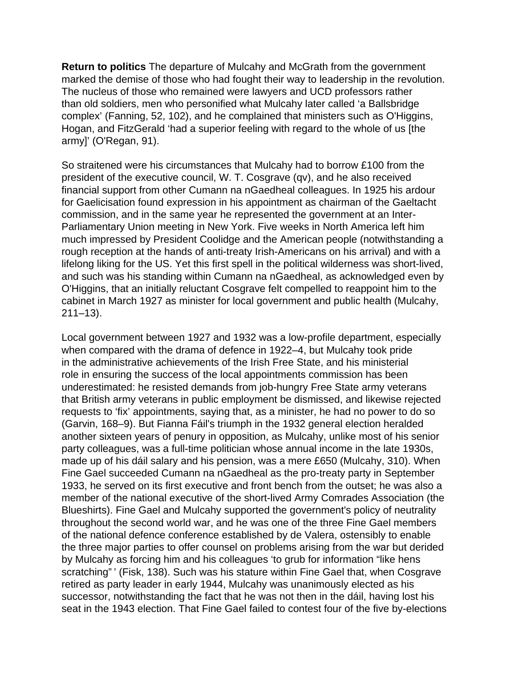**Return to politics** The departure of Mulcahy and McGrath from the government marked the demise of those who had fought their way to leadership in the revolution. The nucleus of those who remained were lawyers and UCD professors rather than old soldiers, men who personified what Mulcahy later called 'a Ballsbridge complex' (Fanning, 52, 102), and he complained that ministers such as O'Higgins, Hogan, and FitzGerald 'had a superior feeling with regard to the whole of us [the army]' (O'Regan, 91).

So straitened were his circumstances that Mulcahy had to borrow £100 from the president of the executive council, W. T. Cosgrave (qv), and he also received financial support from other Cumann na nGaedheal colleagues. In 1925 his ardour for Gaelicisation found expression in his appointment as chairman of the Gaeltacht commission, and in the same year he represented the government at an Inter-Parliamentary Union meeting in New York. Five weeks in North America left him much impressed by President Coolidge and the American people (notwithstanding a rough reception at the hands of anti-treaty Irish-Americans on his arrival) and with a lifelong liking for the US. Yet this first spell in the political wilderness was short-lived, and such was his standing within Cumann na nGaedheal, as acknowledged even by O'Higgins, that an initially reluctant Cosgrave felt compelled to reappoint him to the cabinet in March 1927 as minister for local government and public health (Mulcahy, 211–13).

Local government between 1927 and 1932 was a low-profile department, especially when compared with the drama of defence in 1922–4, but Mulcahy took pride in the administrative achievements of the Irish Free State, and his ministerial role in ensuring the success of the local appointments commission has been underestimated: he resisted demands from job-hungry Free State army veterans that British army veterans in public employment be dismissed, and likewise rejected requests to 'fix' appointments, saying that, as a minister, he had no power to do so (Garvin, 168–9). But Fianna Fáil's triumph in the 1932 general election heralded another sixteen years of penury in opposition, as Mulcahy, unlike most of his senior party colleagues, was a full-time politician whose annual income in the late 1930s, made up of his dáil salary and his pension, was a mere £650 (Mulcahy, 310). When Fine Gael succeeded Cumann na nGaedheal as the pro-treaty party in September 1933, he served on its first executive and front bench from the outset; he was also a member of the national executive of the short-lived Army Comrades Association (the Blueshirts). Fine Gael and Mulcahy supported the government's policy of neutrality throughout the second world war, and he was one of the three Fine Gael members of the national defence conference established by de Valera, ostensibly to enable the three major parties to offer counsel on problems arising from the war but derided by Mulcahy as forcing him and his colleagues 'to grub for information "like hens scratching" ' (Fisk, 138). Such was his stature within Fine Gael that, when Cosgrave retired as party leader in early 1944, Mulcahy was unanimously elected as his successor, notwithstanding the fact that he was not then in the dáil, having lost his seat in the 1943 election. That Fine Gael failed to contest four of the five by-elections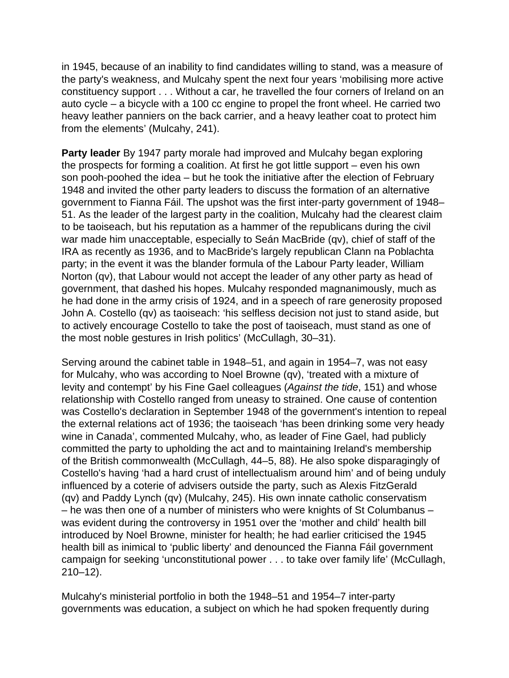in 1945, because of an inability to find candidates willing to stand, was a measure of the party's weakness, and Mulcahy spent the next four years 'mobilising more active constituency support . . . Without a car, he travelled the four corners of Ireland on an auto cycle – a bicycle with a 100 cc engine to propel the front wheel. He carried two heavy leather panniers on the back carrier, and a heavy leather coat to protect him from the elements' (Mulcahy, 241).

**Party leader** By 1947 party morale had improved and Mulcahy began exploring the prospects for forming a coalition. At first he got little support – even his own son pooh-poohed the idea – but he took the initiative after the election of February 1948 and invited the other party leaders to discuss the formation of an alternative government to Fianna Fáil. The upshot was the first inter-party government of 1948– 51. As the leader of the largest party in the coalition, Mulcahy had the clearest claim to be taoiseach, but his reputation as a hammer of the republicans during the civil war made him unacceptable, especially to Seán MacBride (qv), chief of staff of the IRA as recently as 1936, and to MacBride's largely republican Clann na Poblachta party; in the event it was the blander formula of the Labour Party leader, William Norton (qv), that Labour would not accept the leader of any other party as head of government, that dashed his hopes. Mulcahy responded magnanimously, much as he had done in the army crisis of 1924, and in a speech of rare generosity proposed John A. Costello (qv) as taoiseach: 'his selfless decision not just to stand aside, but to actively encourage Costello to take the post of taoiseach, must stand as one of the most noble gestures in Irish politics' (McCullagh, 30–31).

Serving around the cabinet table in 1948–51, and again in 1954–7, was not easy for Mulcahy, who was according to Noel Browne (qv), 'treated with a mixture of levity and contempt' by his Fine Gael colleagues (Against the tide, 151) and whose relationship with Costello ranged from uneasy to strained. One cause of contention was Costello's declaration in September 1948 of the government's intention to repeal the external relations act of 1936; the taoiseach 'has been drinking some very heady wine in Canada', commented Mulcahy, who, as leader of Fine Gael, had publicly committed the party to upholding the act and to maintaining Ireland's membership of the British commonwealth (McCullagh, 44–5, 88). He also spoke disparagingly of Costello's having 'had a hard crust of intellectualism around him' and of being unduly influenced by a coterie of advisers outside the party, such as Alexis FitzGerald (qv) and Paddy Lynch (qv) (Mulcahy, 245). His own innate catholic conservatism – he was then one of a number of ministers who were knights of St Columbanus – was evident during the controversy in 1951 over the 'mother and child' health bill introduced by Noel Browne, minister for health; he had earlier criticised the 1945 health bill as inimical to 'public liberty' and denounced the Fianna Fáil government campaign for seeking 'unconstitutional power . . . to take over family life' (McCullagh, 210–12).

Mulcahy's ministerial portfolio in both the 1948–51 and 1954–7 inter-party governments was education, a subject on which he had spoken frequently during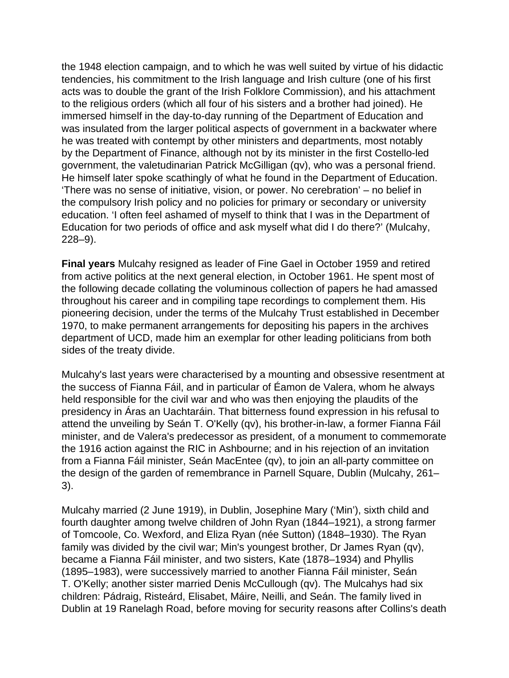the 1948 election campaign, and to which he was well suited by virtue of his didactic tendencies, his commitment to the Irish language and Irish culture (one of his first acts was to double the grant of the Irish Folklore Commission), and his attachment to the religious orders (which all four of his sisters and a brother had joined). He immersed himself in the day-to-day running of the Department of Education and was insulated from the larger political aspects of government in a backwater where he was treated with contempt by other ministers and departments, most notably by the Department of Finance, although not by its minister in the first Costello-led government, the valetudinarian Patrick McGilligan (qv), who was a personal friend. He himself later spoke scathingly of what he found in the Department of Education. 'There was no sense of initiative, vision, or power. No cerebration' – no belief in the compulsory Irish policy and no policies for primary or secondary or university education. 'I often feel ashamed of myself to think that I was in the Department of Education for two periods of office and ask myself what did I do there?' (Mulcahy, 228–9).

**Final years** Mulcahy resigned as leader of Fine Gael in October 1959 and retired from active politics at the next general election, in October 1961. He spent most of the following decade collating the voluminous collection of papers he had amassed throughout his career and in compiling tape recordings to complement them. His pioneering decision, under the terms of the Mulcahy Trust established in December 1970, to make permanent arrangements for depositing his papers in the archives department of UCD, made him an exemplar for other leading politicians from both sides of the treaty divide.

Mulcahy's last years were characterised by a mounting and obsessive resentment at the success of Fianna Fáil, and in particular of Éamon de Valera, whom he always held responsible for the civil war and who was then enjoying the plaudits of the presidency in Áras an Uachtaráin. That bitterness found expression in his refusal to attend the unveiling by Seán T. O'Kelly (qv), his brother-in-law, a former Fianna Fáil minister, and de Valera's predecessor as president, of a monument to commemorate the 1916 action against the RIC in Ashbourne; and in his rejection of an invitation from a Fianna Fáil minister, Seán MacEntee (qv), to join an all-party committee on the design of the garden of remembrance in Parnell Square, Dublin (Mulcahy, 261– 3).

Mulcahy married (2 June 1919), in Dublin, Josephine Mary ('Min'), sixth child and fourth daughter among twelve children of John Ryan (1844–1921), a strong farmer of Tomcoole, Co. Wexford, and Eliza Ryan (née Sutton) (1848–1930). The Ryan family was divided by the civil war; Min's youngest brother, Dr James Ryan (qv), became a Fianna Fáil minister, and two sisters, Kate (1878–1934) and Phyllis (1895–1983), were successively married to another Fianna Fáil minister, Seán T. O'Kelly; another sister married Denis McCullough (qv). The Mulcahys had six children: Pádraig, Risteárd, Elisabet, Máire, Neilli, and Seán. The family lived in Dublin at 19 Ranelagh Road, before moving for security reasons after Collins's death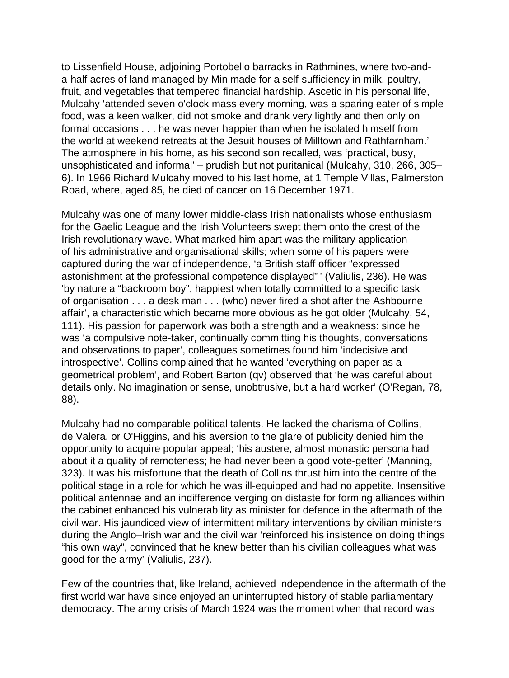to Lissenfield House, adjoining Portobello barracks in Rathmines, where two-anda-half acres of land managed by Min made for a self-sufficiency in milk, poultry, fruit, and vegetables that tempered financial hardship. Ascetic in his personal life, Mulcahy 'attended seven o'clock mass every morning, was a sparing eater of simple food, was a keen walker, did not smoke and drank very lightly and then only on formal occasions . . . he was never happier than when he isolated himself from the world at weekend retreats at the Jesuit houses of Milltown and Rathfarnham.' The atmosphere in his home, as his second son recalled, was 'practical, busy, unsophisticated and informal' – prudish but not puritanical (Mulcahy, 310, 266, 305– 6). In 1966 Richard Mulcahy moved to his last home, at 1 Temple Villas, Palmerston Road, where, aged 85, he died of cancer on 16 December 1971.

Mulcahy was one of many lower middle-class Irish nationalists whose enthusiasm for the Gaelic League and the Irish Volunteers swept them onto the crest of the Irish revolutionary wave. What marked him apart was the military application of his administrative and organisational skills; when some of his papers were captured during the war of independence, 'a British staff officer "expressed astonishment at the professional competence displayed" ' (Valiulis, 236). He was 'by nature a "backroom boy", happiest when totally committed to a specific task of organisation . . . a desk man . . . (who) never fired a shot after the Ashbourne affair', a characteristic which became more obvious as he got older (Mulcahy, 54, 111). His passion for paperwork was both a strength and a weakness: since he was 'a compulsive note-taker, continually committing his thoughts, conversations and observations to paper', colleagues sometimes found him 'indecisive and introspective'. Collins complained that he wanted 'everything on paper as a geometrical problem', and Robert Barton (qv) observed that 'he was careful about details only. No imagination or sense, unobtrusive, but a hard worker' (O'Regan, 78, 88).

Mulcahy had no comparable political talents. He lacked the charisma of Collins, de Valera, or O'Higgins, and his aversion to the glare of publicity denied him the opportunity to acquire popular appeal; 'his austere, almost monastic persona had about it a quality of remoteness; he had never been a good vote-getter' (Manning, 323). It was his misfortune that the death of Collins thrust him into the centre of the political stage in a role for which he was ill-equipped and had no appetite. Insensitive political antennae and an indifference verging on distaste for forming alliances within the cabinet enhanced his vulnerability as minister for defence in the aftermath of the civil war. His jaundiced view of intermittent military interventions by civilian ministers during the Anglo–Irish war and the civil war 'reinforced his insistence on doing things "his own way", convinced that he knew better than his civilian colleagues what was good for the army' (Valiulis, 237).

Few of the countries that, like Ireland, achieved independence in the aftermath of the first world war have since enjoyed an uninterrupted history of stable parliamentary democracy. The army crisis of March 1924 was the moment when that record was